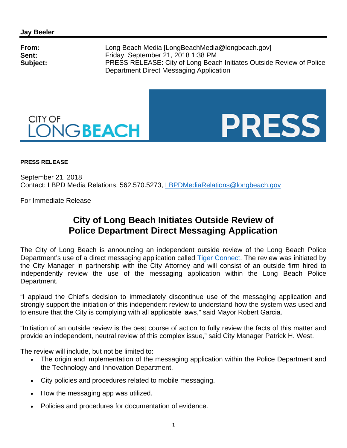



## **PRESS RELEASE**

September 21, 2018 Contact: LBPD Media Relations, 562.570.5273, LBPDMediaRelations@longbeach.gov

For Immediate Release

## **City of Long Beach Initiates Outside Review of Police Department Direct Messaging Application**

The City of Long Beach is announcing an independent outside review of the Long Beach Police Department's use of a direct messaging application called Tiger Connect. The review was initiated by the City Manager in partnership with the City Attorney and will consist of an outside firm hired to independently review the use of the messaging application within the Long Beach Police Department.

"I applaud the Chief's decision to immediately discontinue use of the messaging application and strongly support the initiation of this independent review to understand how the system was used and to ensure that the City is complying with all applicable laws," said Mayor Robert Garcia.

"Initiation of an outside review is the best course of action to fully review the facts of this matter and provide an independent, neutral review of this complex issue," said City Manager Patrick H. West.

The review will include, but not be limited to:

- The origin and implementation of the messaging application within the Police Department and the Technology and Innovation Department.
- City policies and procedures related to mobile messaging.
- How the messaging app was utilized.
- Policies and procedures for documentation of evidence.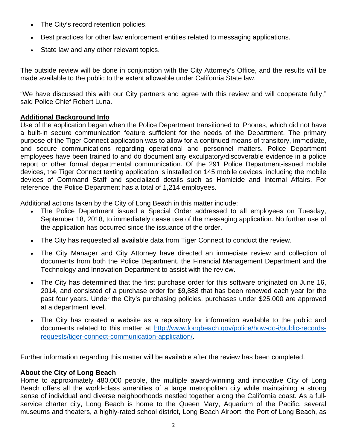- The City's record retention policies.
- Best practices for other law enforcement entities related to messaging applications.
- State law and any other relevant topics.

The outside review will be done in conjunction with the City Attorney's Office, and the results will be made available to the public to the extent allowable under California State law.

"We have discussed this with our City partners and agree with this review and will cooperate fully," said Police Chief Robert Luna.

## **Additional Background Info**

Use of the application began when the Police Department transitioned to iPhones, which did not have a built-in secure communication feature sufficient for the needs of the Department. The primary purpose of the Tiger Connect application was to allow for a continued means of transitory, immediate, and secure communications regarding operational and personnel matters. Police Department employees have been trained to and do document any exculpatory/discoverable evidence in a police report or other formal departmental communication. Of the 291 Police Department-issued mobile devices, the Tiger Connect texting application is installed on 145 mobile devices, including the mobile devices of Command Staff and specialized details such as Homicide and Internal Affairs. For reference, the Police Department has a total of 1,214 employees.

Additional actions taken by the City of Long Beach in this matter include:

- The Police Department issued a Special Order addressed to all employees on Tuesday, September 18, 2018, to immediately cease use of the messaging application. No further use of the application has occurred since the issuance of the order.
- The City has requested all available data from Tiger Connect to conduct the review.
- The City Manager and City Attorney have directed an immediate review and collection of documents from both the Police Department, the Financial Management Department and the Technology and Innovation Department to assist with the review.
- The City has determined that the first purchase order for this software originated on June 16, 2014, and consisted of a purchase order for \$9,888 that has been renewed each year for the past four years. Under the City's purchasing policies, purchases under \$25,000 are approved at a department level.
- The City has created a website as a repository for information available to the public and documents related to this matter at http://www.longbeach.gov/police/how-do-i/public-recordsrequests/tiger-connect-communication-application/.

Further information regarding this matter will be available after the review has been completed.

## **About the City of Long Beach**

Home to approximately 480,000 people, the multiple award-winning and innovative City of Long Beach offers all the world-class amenities of a large metropolitan city while maintaining a strong sense of individual and diverse neighborhoods nestled together along the California coast. As a fullservice charter city, Long Beach is home to the Queen Mary, Aquarium of the Pacific, several museums and theaters, a highly-rated school district, Long Beach Airport, the Port of Long Beach, as